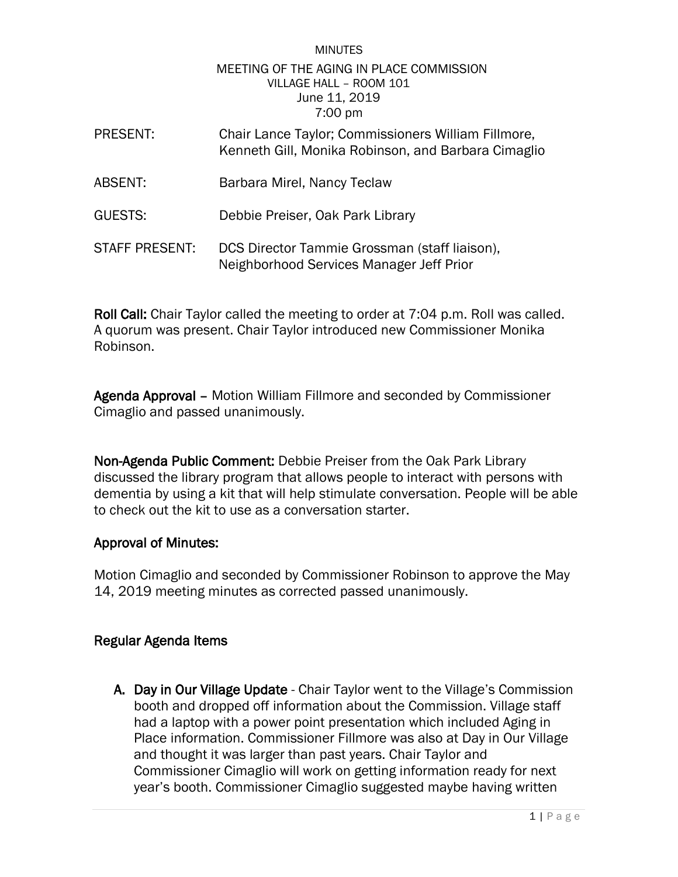### **MINUTES** MEETING OF THE AGING IN PLACE COMMISSION VILLAGE HALL – ROOM 101 June 11, 2019 7:00 pm

| <b>PRESENT:</b>       | Chair Lance Taylor; Commissioners William Fillmore,<br>Kenneth Gill, Monika Robinson, and Barbara Cimaglio |
|-----------------------|------------------------------------------------------------------------------------------------------------|
| ABSENT:               | Barbara Mirel, Nancy Teclaw                                                                                |
| <b>GUESTS:</b>        | Debbie Preiser, Oak Park Library                                                                           |
| <b>STAFF PRESENT:</b> | DCS Director Tammie Grossman (staff liaison),<br>Neighborhood Services Manager Jeff Prior                  |

Roll Call: Chair Taylor called the meeting to order at 7:04 p.m. Roll was called. A quorum was present. Chair Taylor introduced new Commissioner Monika Robinson.

Agenda Approval – Motion William Fillmore and seconded by Commissioner Cimaglio and passed unanimously.

Non-Agenda Public Comment: Debbie Preiser from the Oak Park Library discussed the library program that allows people to interact with persons with dementia by using a kit that will help stimulate conversation. People will be able to check out the kit to use as a conversation starter.

## Approval of Minutes:

Motion Cimaglio and seconded by Commissioner Robinson to approve the May 14, 2019 meeting minutes as corrected passed unanimously.

# Regular Agenda Items

A. Day in Our Village Update - Chair Taylor went to the Village's Commission booth and dropped off information about the Commission. Village staff had a laptop with a power point presentation which included Aging in Place information. Commissioner Fillmore was also at Day in Our Village and thought it was larger than past years. Chair Taylor and Commissioner Cimaglio will work on getting information ready for next year's booth. Commissioner Cimaglio suggested maybe having written